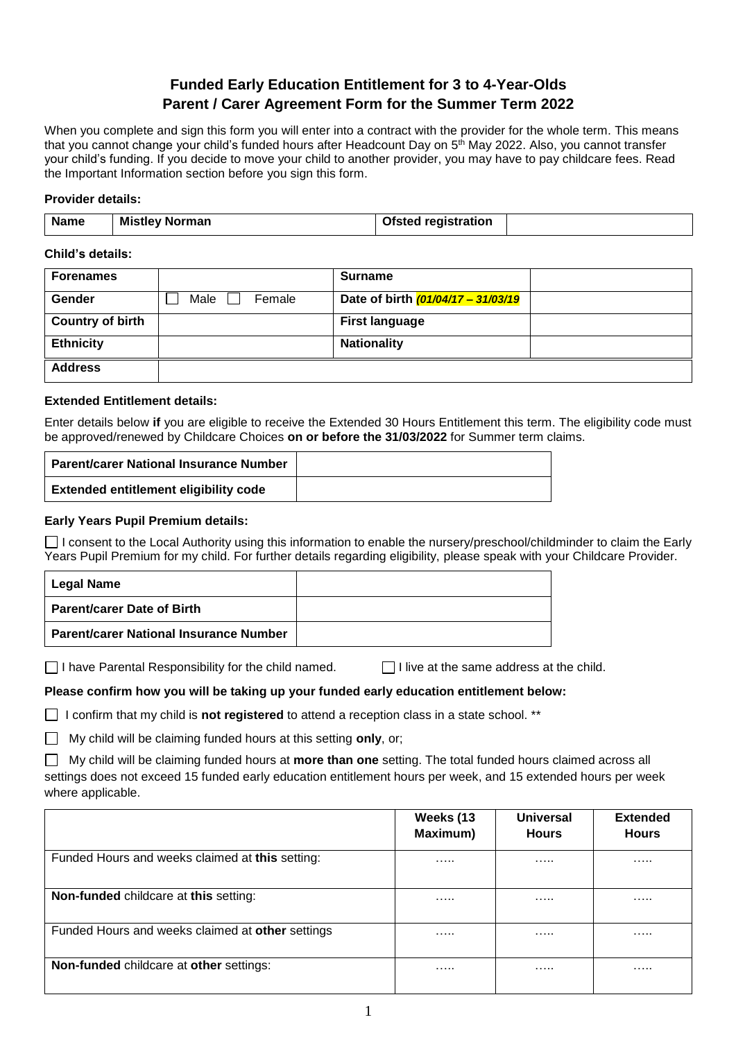# **Funded Early Education Entitlement for 3 to 4-Year-Olds Parent / Carer Agreement Form for the Summer Term 2022**

When you complete and sign this form you will enter into a contract with the provider for the whole term. This means that you cannot change your child's funded hours after Headcount Day on 5 th May 2022. Also, you cannot transfer your child's funding. If you decide to move your child to another provider, you may have to pay childcare fees. Read the Important Information section before you sign this form.

#### **Provider details:**

| <b>Name</b> | <b>Mistley Norman</b> | <b>Ofsted registration</b> |  |
|-------------|-----------------------|----------------------------|--|

# **Child's details:**

| <b>Forenames</b>        |                | <b>Surname</b>                     |  |
|-------------------------|----------------|------------------------------------|--|
| Gender                  | Male<br>Female | Date of birth (01/04/17 - 31/03/19 |  |
| <b>Country of birth</b> |                | <b>First language</b>              |  |
| <b>Ethnicity</b>        |                | <b>Nationality</b>                 |  |
| <b>Address</b>          |                |                                    |  |

#### **Extended Entitlement details:**

Enter details below **if** you are eligible to receive the Extended 30 Hours Entitlement this term. The eligibility code must be approved/renewed by Childcare Choices **on or before the 31/03/2022** for Summer term claims.

| Parent/carer National Insurance Number       |  |
|----------------------------------------------|--|
| <b>Extended entitlement eligibility code</b> |  |

#### **Early Years Pupil Premium details:**

□ I consent to the Local Authority using this information to enable the nursery/preschool/childminder to claim the Early Years Pupil Premium for my child. For further details regarding eligibility, please speak with your Childcare Provider.

| Legal Name                               |  |
|------------------------------------------|--|
| Parent/carer Date of Birth               |  |
| ∣ Parent/carer National Insurance Number |  |

 $\Box$  I have Parental Responsibility for the child named.  $\Box$  I live at the same address at the child.

#### **Please confirm how you will be taking up your funded early education entitlement below:**

I confirm that my child is **not registered** to attend a reception class in a state school. \*\*

My child will be claiming funded hours at this setting **only**, or;

 My child will be claiming funded hours at **more than one** setting. The total funded hours claimed across all settings does not exceed 15 funded early education entitlement hours per week, and 15 extended hours per week where applicable.

|                                                  | Weeks (13<br>Maximum) | <b>Universal</b><br><b>Hours</b> | <b>Extended</b><br><b>Hours</b> |
|--------------------------------------------------|-----------------------|----------------------------------|---------------------------------|
| Funded Hours and weeks claimed at this setting:  | .                     | .                                | .                               |
| Non-funded childcare at this setting:            | .                     | .                                | .                               |
| Funded Hours and weeks claimed at other settings | .                     | .                                | .                               |
| Non-funded childcare at other settings:          | .                     | .                                | .                               |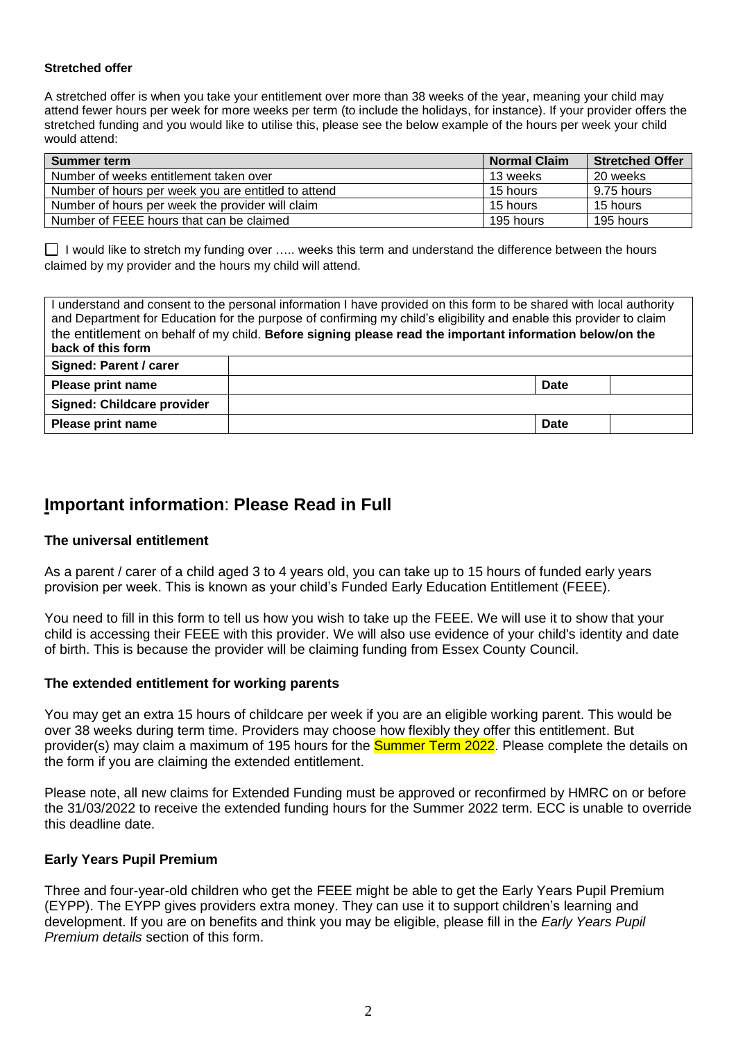#### **Stretched offer**

A stretched offer is when you take your entitlement over more than 38 weeks of the year, meaning your child may attend fewer hours per week for more weeks per term (to include the holidays, for instance). If your provider offers the stretched funding and you would like to utilise this, please see the below example of the hours per week your child would attend:

| Summer term                                         | Normal Claim | <b>Stretched Offer</b> |
|-----------------------------------------------------|--------------|------------------------|
| Number of weeks entitlement taken over              | 13 weeks     | 20 weeks               |
| Number of hours per week you are entitled to attend | 15 hours     | 9.75 hours             |
| Number of hours per week the provider will claim    | 15 hours     | 15 hours               |
| Number of FEEE hours that can be claimed            | 195 hours    | 195 hours              |

 I would like to stretch my funding over ….. weeks this term and understand the difference between the hours claimed by my provider and the hours my child will attend.

| I understand and consent to the personal information I have provided on this form to be shared with local authority<br>and Department for Education for the purpose of confirming my child's eligibility and enable this provider to claim<br>the entitlement on behalf of my child. Before signing please read the important information below/on the<br>back of this form |  |      |  |
|-----------------------------------------------------------------------------------------------------------------------------------------------------------------------------------------------------------------------------------------------------------------------------------------------------------------------------------------------------------------------------|--|------|--|
| Signed: Parent / carer                                                                                                                                                                                                                                                                                                                                                      |  |      |  |
| <b>Please print name</b>                                                                                                                                                                                                                                                                                                                                                    |  | Date |  |
| Signed: Childcare provider                                                                                                                                                                                                                                                                                                                                                  |  |      |  |
| <b>Please print name</b>                                                                                                                                                                                                                                                                                                                                                    |  | Date |  |

# **Important information**: **Please Read in Full**

## **The universal entitlement**

As a parent / carer of a child aged 3 to 4 years old, you can take up to 15 hours of funded early years provision per week. This is known as your child's Funded Early Education Entitlement (FEEE).

You need to fill in this form to tell us how you wish to take up the FEEE. We will use it to show that your child is accessing their FEEE with this provider. We will also use evidence of your child's identity and date of birth. This is because the provider will be claiming funding from Essex County Council.

#### **The extended entitlement for working parents**

You may get an extra 15 hours of childcare per week if you are an eligible working parent. This would be over 38 weeks during term time. Providers may choose how flexibly they offer this entitlement. But provider(s) may claim a maximum of 195 hours for the **Summer Term 2022**. Please complete the details on the form if you are claiming the extended entitlement.

Please note, all new claims for Extended Funding must be approved or reconfirmed by HMRC on or before the 31/03/2022 to receive the extended funding hours for the Summer 2022 term. ECC is unable to override this deadline date.

## **Early Years Pupil Premium**

Three and four-year-old children who get the FEEE might be able to get the Early Years Pupil Premium (EYPP). The EYPP gives providers extra money. They can use it to support children's learning and development. If you are on benefits and think you may be eligible, please fill in the *Early Years Pupil Premium details* section of this form.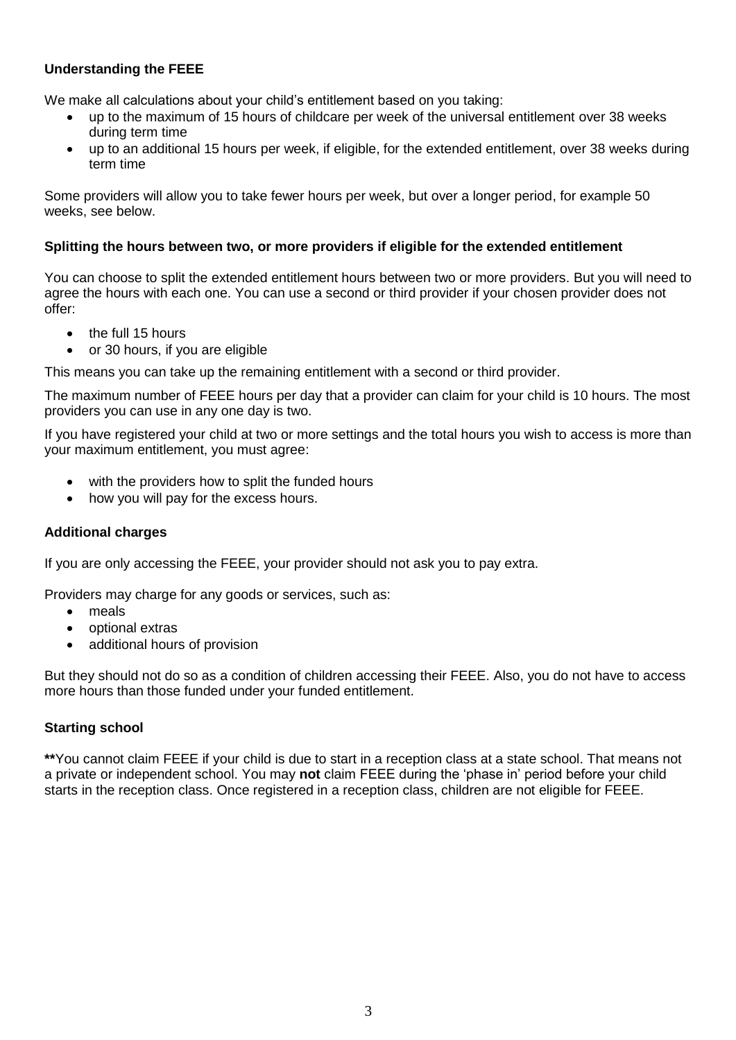# **Understanding the FEEE**

We make all calculations about your child's entitlement based on you taking:

- up to the maximum of 15 hours of childcare per week of the universal entitlement over 38 weeks during term time
- up to an additional 15 hours per week, if eligible, for the extended entitlement, over 38 weeks during term time

Some providers will allow you to take fewer hours per week, but over a longer period, for example 50 weeks, see below.

## **Splitting the hours between two, or more providers if eligible for the extended entitlement**

You can choose to split the extended entitlement hours between two or more providers. But you will need to agree the hours with each one. You can use a second or third provider if your chosen provider does not offer:

- the full 15 hours
- or 30 hours, if you are eligible

This means you can take up the remaining entitlement with a second or third provider.

The maximum number of FEEE hours per day that a provider can claim for your child is 10 hours. The most providers you can use in any one day is two.

If you have registered your child at two or more settings and the total hours you wish to access is more than your maximum entitlement, you must agree:

- with the providers how to split the funded hours
- how you will pay for the excess hours.

# **Additional charges**

If you are only accessing the FEEE, your provider should not ask you to pay extra.

Providers may charge for any goods or services, such as:

- meals
- optional extras
- additional hours of provision

But they should not do so as a condition of children accessing their FEEE. Also, you do not have to access more hours than those funded under your funded entitlement.

# **Starting school**

**\*\***You cannot claim FEEE if your child is due to start in a reception class at a state school. That means not a private or independent school. You may **not** claim FEEE during the 'phase in' period before your child starts in the reception class. Once registered in a reception class, children are not eligible for FEEE.